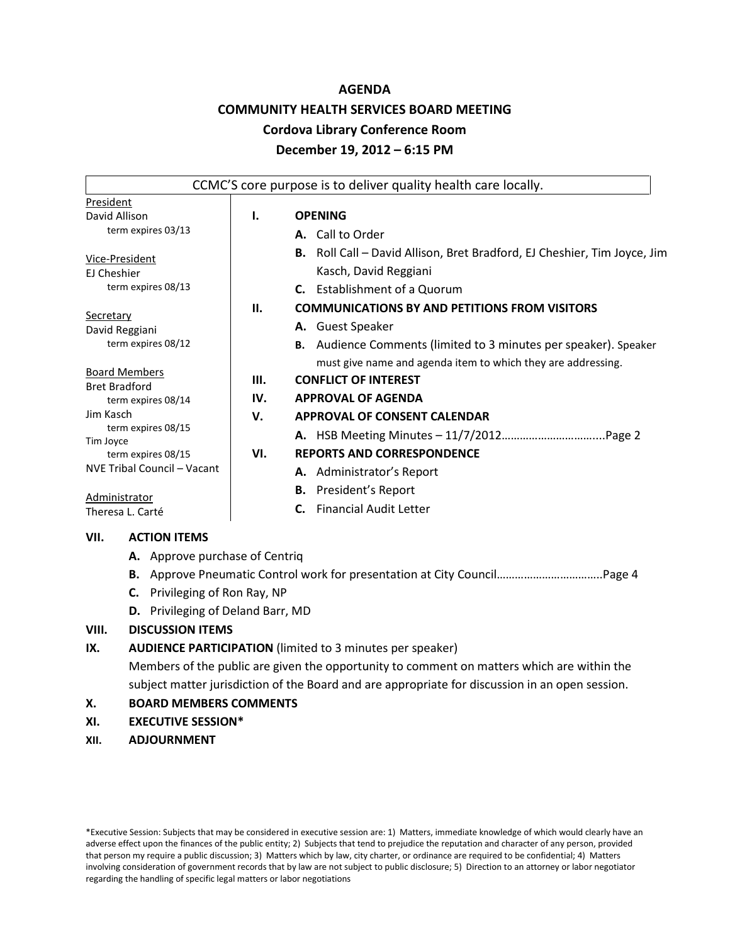#### **AGENDA**

## **COMMUNITY HEALTH SERVICES BOARD MEETING**

### **Cordova Library Conference Room**

#### **December 19, 2012 – 6:15 PM**

| CCMC'S core purpose is to deliver quality health care locally.                                                                                                                                                                                                                      |                        |                                                                                                                                                                                                                                          |
|-------------------------------------------------------------------------------------------------------------------------------------------------------------------------------------------------------------------------------------------------------------------------------------|------------------------|------------------------------------------------------------------------------------------------------------------------------------------------------------------------------------------------------------------------------------------|
| President<br>David Allison<br>term expires 03/13                                                                                                                                                                                                                                    | ı.                     | <b>OPENING</b><br>A. Call to Order                                                                                                                                                                                                       |
| Vice-President<br>EJ Cheshier<br>term expires 08/13<br>Secretary<br>David Reggiani<br>term expires 08/12<br><b>Board Members</b><br><b>Bret Bradford</b><br>term expires 08/14<br>Jim Kasch<br>term expires 08/15<br>Tim Joyce<br>term expires 08/15<br>NVE Tribal Council - Vacant |                        | Roll Call – David Allison, Bret Bradford, EJ Cheshier, Tim Joyce, Jim<br>В.<br>Kasch, David Reggiani<br><b>C.</b> Establishment of a Quorum                                                                                              |
|                                                                                                                                                                                                                                                                                     | Ш.                     | <b>COMMUNICATIONS BY AND PETITIONS FROM VISITORS</b><br>A. Guest Speaker<br><b>B.</b> Audience Comments (limited to 3 minutes per speaker). Speaker                                                                                      |
|                                                                                                                                                                                                                                                                                     | Ш.<br>IV.<br>V.<br>VI. | must give name and agenda item to which they are addressing.<br><b>CONFLICT OF INTEREST</b><br><b>APPROVAL OF AGENDA</b><br><b>APPROVAL OF CONSENT CALENDAR</b><br><b>REPORTS AND CORRESPONDENCE</b><br><b>A.</b> Administrator's Report |
| Administrator<br>Theresa L. Carté                                                                                                                                                                                                                                                   |                        | <b>B.</b> President's Report<br><b>Financial Audit Letter</b><br>C.                                                                                                                                                                      |

## **VII. ACTION ITEMS**

- **A.** Approve purchase of Centriq
- **B.** Approve Pneumatic Control work for presentation at City Council……………………………..Page 4
- **C.** Privileging of Ron Ray, NP
- **D.** Privileging of Deland Barr, MD

## **VIII. DISCUSSION ITEMS**

## **IX. AUDIENCE PARTICIPATION** (limited to 3 minutes per speaker)

Members of the public are given the opportunity to comment on matters which are within the subject matter jurisdiction of the Board and are appropriate for discussion in an open session.

## **X. BOARD MEMBERS COMMENTS**

## **XI. EXECUTIVE SESSION\***

**XII. ADJOURNMENT**

\*Executive Session: Subjects that may be considered in executive session are: 1) Matters, immediate knowledge of which would clearly have an adverse effect upon the finances of the public entity; 2) Subjects that tend to prejudice the reputation and character of any person, provided that person my require a public discussion; 3) Matters which by law, city charter, or ordinance are required to be confidential; 4) Matters involving consideration of government records that by law are not subject to public disclosure; 5) Direction to an attorney or labor negotiator regarding the handling of specific legal matters or labor negotiations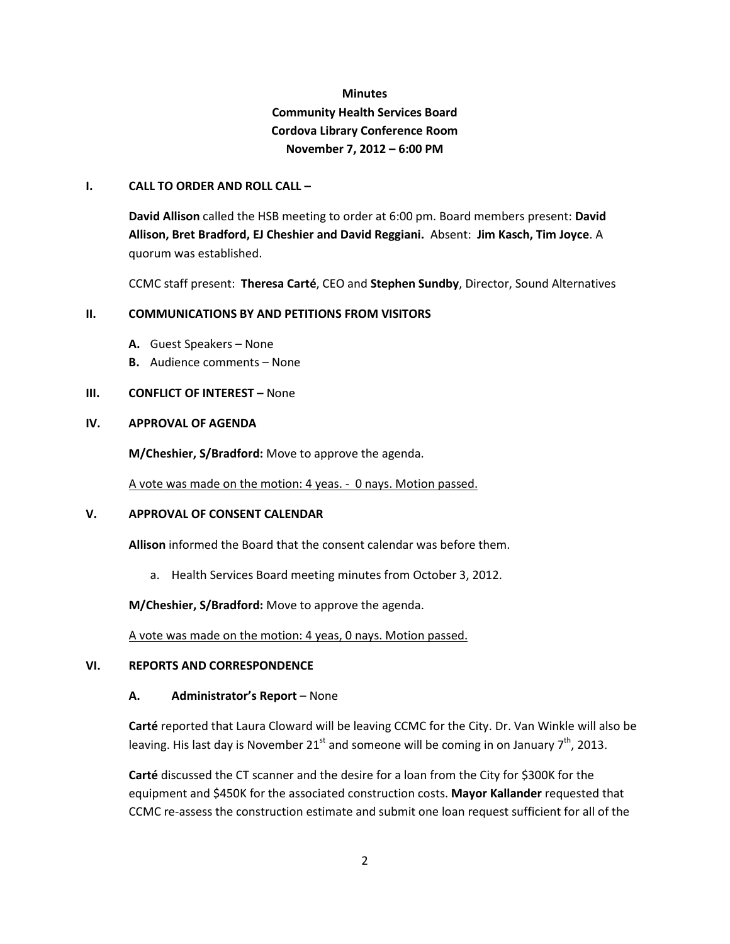## **Minutes Community Health Services Board Cordova Library Conference Room November 7, 2012 – 6:00 PM**

#### **I. CALL TO ORDER AND ROLL CALL –**

**David Allison** called the HSB meeting to order at 6:00 pm. Board members present: **David Allison, Bret Bradford, EJ Cheshier and David Reggiani.** Absent: **Jim Kasch, Tim Joyce**. A quorum was established.

CCMC staff present: **Theresa Carté**, CEO and **Stephen Sundby**, Director, Sound Alternatives

#### **II. COMMUNICATIONS BY AND PETITIONS FROM VISITORS**

- **A.** Guest Speakers None
- **B.** Audience comments None

#### **III. CONFLICT OF INTEREST –** None

#### **IV. APPROVAL OF AGENDA**

**M/Cheshier, S/Bradford:** Move to approve the agenda.

A vote was made on the motion: 4 yeas. - 0 nays. Motion passed.

#### **V. APPROVAL OF CONSENT CALENDAR**

**Allison** informed the Board that the consent calendar was before them.

a. Health Services Board meeting minutes from October 3, 2012.

**M/Cheshier, S/Bradford:** Move to approve the agenda.

A vote was made on the motion: 4 yeas, 0 nays. Motion passed.

#### **VI. REPORTS AND CORRESPONDENCE**

#### **A. Administrator's Report** – None

**Carté** reported that Laura Cloward will be leaving CCMC for the City. Dr. Van Winkle will also be leaving. His last day is November 21<sup>st</sup> and someone will be coming in on January  $7<sup>th</sup>$ , 2013.

**Carté** discussed the CT scanner and the desire for a loan from the City for \$300K for the equipment and \$450K for the associated construction costs. **Mayor Kallander** requested that CCMC re-assess the construction estimate and submit one loan request sufficient for all of the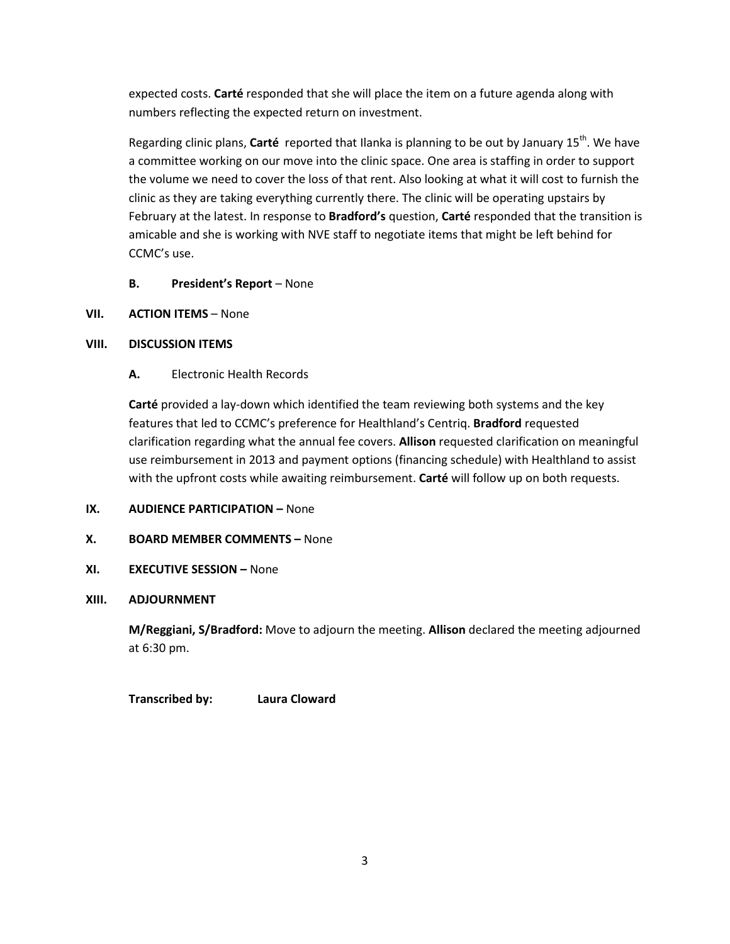expected costs. **Carté** responded that she will place the item on a future agenda along with numbers reflecting the expected return on investment.

Regarding clinic plans, **Carté** reported that Ilanka is planning to be out by January 15<sup>th</sup>. We have a committee working on our move into the clinic space. One area is staffing in order to support the volume we need to cover the loss of that rent. Also looking at what it will cost to furnish the clinic as they are taking everything currently there. The clinic will be operating upstairs by February at the latest. In response to **Bradford's** question, **Carté** responded that the transition is amicable and she is working with NVE staff to negotiate items that might be left behind for CCMC's use.

## **B.** President's Report – None

## **VII. ACTION ITEMS - None**

## **VIII. DISCUSSION ITEMS**

## **A.** Electronic Health Records

**Carté** provided a lay-down which identified the team reviewing both systems and the key features that led to CCMC's preference for Healthland's Centriq. **Bradford** requested clarification regarding what the annual fee covers. **Allison** requested clarification on meaningful use reimbursement in 2013 and payment options (financing schedule) with Healthland to assist with the upfront costs while awaiting reimbursement. **Carté** will follow up on both requests.

## **IX. AUDIENCE PARTICIPATION –** None

## **X. BOARD MEMBER COMMENTS –** None

## **XI. EXECUTIVE SESSION –** None

## **XIII. ADJOURNMENT**

**M/Reggiani, S/Bradford:** Move to adjourn the meeting. **Allison** declared the meeting adjourned at 6:30 pm.

**Transcribed by: Laura Cloward**